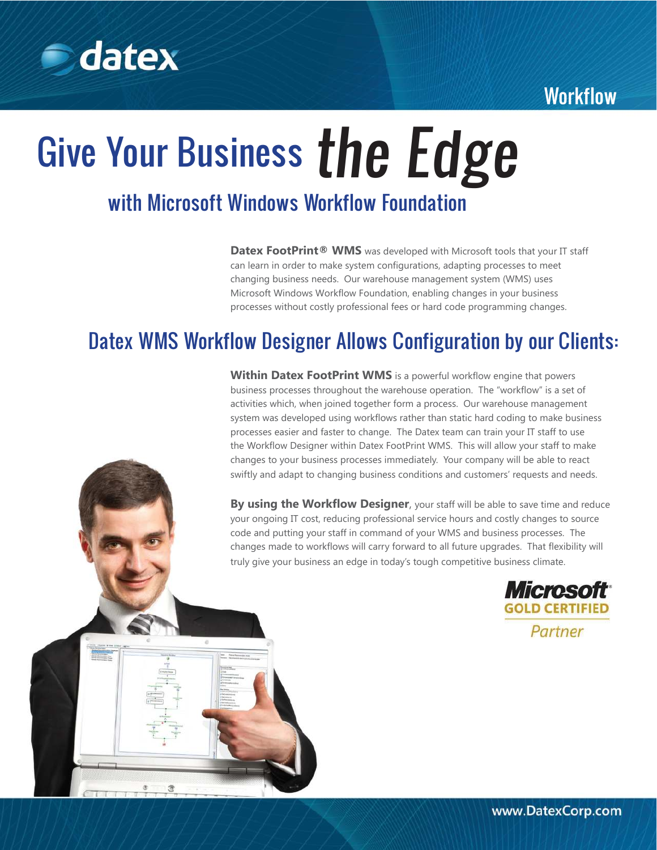## **Workflow**



# Give Your Business the Edge with Microsoft Windows Workflow Foundation

**Datex FootPrint® WMS** was developed with Microsoft tools that your IT staff can learn in order to make system configurations, adapting processes to meet changing business needs. Our warehouse management system (WMS) uses Microsoft Windows Workflow Foundation, enabling changes in your business processes without costly professional fees or hard code programming changes.

# Datex WMS Workflow Designer Allows Configuration by our Clients:

**Within Datex FootPrint WMS** is a powerful workflow engine that powers business processes throughout the warehouse operation. The "workflow" is a set of activities which, when joined together form a process. Our warehouse management system was developed using workflows rather than static hard coding to make business processes easier and faster to change. The Datex team can train your IT staff to use the Workflow Designer within Datex FootPrint WMS. This will allow your staff to make changes to your business processes immediately. Your company will be able to react swiftly and adapt to changing business conditions and customers' requests and needs.

**By using the Workflow Designer**, your staff will be able to save time and reduce your ongoing IT cost, reducing professional service hours and costly changes to source code and putting your staff in command of your WMS and business processes. The changes made to workflows will carry forward to all future upgrades. That flexibility will truly give your business an edge in today's tough competitive business climate.